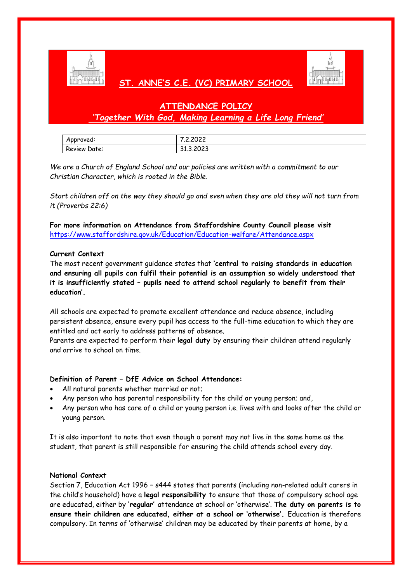

# **ST. ANNE'S C.E. (VC) PRIMARY SCHOOL**



## **ATTENDANCE POLICY** *'Together With God, Making Learning a Life Long Friend'*

| Approved:    | 0.0000<br>2.2022.     |
|--------------|-----------------------|
| Review Date: | $\cdots$<br>31.3.2020 |

*We are a Church of England School and our policies are written with a commitment to our Christian Character, which is rooted in the Bible.* 

*Start children off on the way they should go and even when they are old they will not turn from it (Proverbs 22:6)*

**For more information on Attendance from Staffordshire County Council please visit**  <https://www.staffordshire.gov.uk/Education/Education-welfare/Attendance.aspx>

## **Current Context**

The most recent government guidance states that **'central to raising standards in education and ensuring all pupils can fulfil their potential is an assumption so widely understood that it is insufficiently stated – pupils need to attend school regularly to benefit from their education'.** 

All schools are expected to promote excellent attendance and reduce absence, including persistent absence, ensure every pupil has access to the full-time education to which they are entitled and act early to address patterns of absence.

Parents are expected to perform their **legal duty** by ensuring their children attend regularly and arrive to school on time.

## **Definition of Parent – DfE Advice on School Attendance:**

- All natural parents whether married or not;
- Any person who has parental responsibility for the child or young person; and,
- Any person who has care of a child or young person i.e. lives with and looks after the child or young person.

It is also important to note that even though a parent may not live in the same home as the student, that parent is still responsible for ensuring the child attends school every day.

## **National Context**

Section 7, Education Act 1996 – s444 states that parents (including non-related adult carers in the child's household) have a **legal responsibility** to ensure that those of compulsory school age are educated, either by **'regular'** attendance at school or 'otherwise'. **The duty on parents is to ensure their children are educated, either at a school or 'otherwise'.** Education is therefore compulsory. In terms of 'otherwise' children may be educated by their parents at home, by a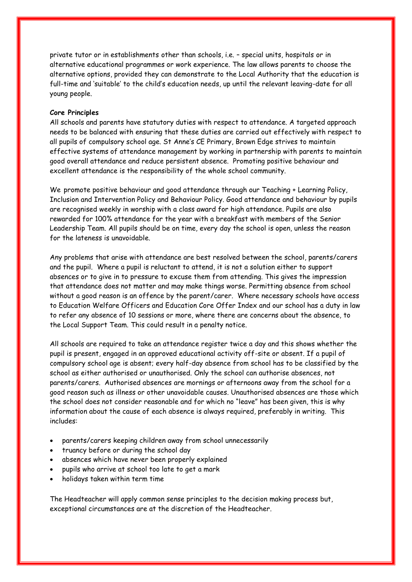private tutor or in establishments other than schools, i.e. – special units, hospitals or in alternative educational programmes or work experience. The law allows parents to choose the alternative options, provided they can demonstrate to the Local Authority that the education is full-time and 'suitable' to the child's education needs, up until the relevant leaving-date for all young people.

#### **Core Principles**

All schools and parents have statutory duties with respect to attendance. A targeted approach needs to be balanced with ensuring that these duties are carried out effectively with respect to all pupils of compulsory school age. St Anne's CE Primary, Brown Edge strives to maintain effective systems of attendance management by working in partnership with parents to maintain good overall attendance and reduce persistent absence. Promoting positive behaviour and excellent attendance is the responsibility of the whole school community.

We promote positive behaviour and good attendance through our Teaching + Learning Policy, Inclusion and Intervention Policy and Behaviour Policy. Good attendance and behaviour by pupils are recognised weekly in worship with a class award for high attendance. Pupils are also rewarded for 100% attendance for the year with a breakfast with members of the Senior Leadership Team. All pupils should be on time, every day the school is open, unless the reason for the lateness is unavoidable.

Any problems that arise with attendance are best resolved between the school, parents/carers and the pupil. Where a pupil is reluctant to attend, it is not a solution either to support absences or to give in to pressure to excuse them from attending. This gives the impression that attendance does not matter and may make things worse. Permitting absence from school without a good reason is an offence by the parent/carer. Where necessary schools have access to Education Welfare Officers and Education Core Offer Index and our school has a duty in law to refer any absence of 10 sessions or more, where there are concerns about the absence, to the Local Support Team. This could result in a penalty notice.

All schools are required to take an attendance register twice a day and this shows whether the pupil is present, engaged in an approved educational activity off-site or absent. If a pupil of compulsory school age is absent; every half-day absence from school has to be classified by the school as either authorised or unauthorised. Only the school can authorise absences, not parents/carers. Authorised absences are mornings or afternoons away from the school for a good reason such as illness or other unavoidable causes. Unauthorised absences are those which the school does not consider reasonable and for which no "leave" has been given, this is why information about the cause of each absence is always required, preferably in writing. This includes:

- parents/carers keeping children away from school unnecessarily
- truancy before or during the school day
- absences which have never been properly explained
- pupils who arrive at school too late to get a mark
- holidays taken within term time

The Headteacher will apply common sense principles to the decision making process but, exceptional circumstances are at the discretion of the Headteacher.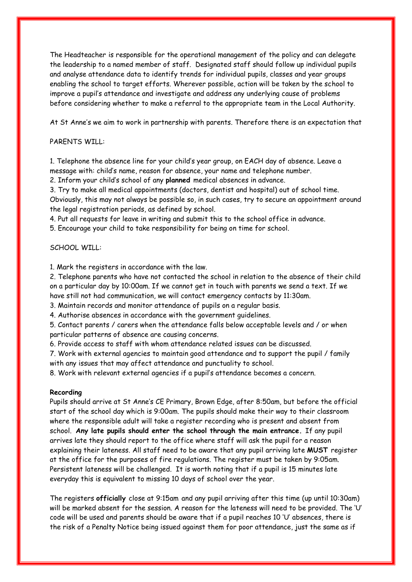The Headteacher is responsible for the operational management of the policy and can delegate the leadership to a named member of staff. Designated staff should follow up individual pupils and analyse attendance data to identify trends for individual pupils, classes and year groups enabling the school to target efforts. Wherever possible, action will be taken by the school to improve a pupil's attendance and investigate and address any underlying cause of problems before considering whether to make a referral to the appropriate team in the Local Authority.

At St Anne's we aim to work in partnership with parents. Therefore there is an expectation that

## PARENTS WILL:

1. Telephone the absence line for your child's year group, on EACH day of absence. Leave a message with: child's name, reason for absence, your name and telephone number.

2. Inform your child's school of any **planned** medical absences in advance.

3. Try to make all medical appointments (doctors, dentist and hospital) out of school time.

Obviously, this may not always be possible so, in such cases, try to secure an appointment around the legal registration periods, as defined by school.

4. Put all requests for leave in writing and submit this to the school office in advance.

5. Encourage your child to take responsibility for being on time for school.

#### SCHOOL WILL:

1. Mark the registers in accordance with the law.

2. Telephone parents who have not contacted the school in relation to the absence of their child on a particular day by 10:00am. If we cannot get in touch with parents we send a text. If we have still not had communication, we will contact emergency contacts by 11:30am.

3. Maintain records and monitor attendance of pupils on a regular basis.

4. Authorise absences in accordance with the government guidelines.

5. Contact parents / carers when the attendance falls below acceptable levels and / or when particular patterns of absence are causing concerns.

6. Provide access to staff with whom attendance related issues can be discussed.

7. Work with external agencies to maintain good attendance and to support the pupil / family with any issues that may affect attendance and punctuality to school.

8. Work with relevant external agencies if a pupil's attendance becomes a concern.

#### **Recording**

Pupils should arrive at St Anne's CE Primary, Brown Edge, after 8:50am, but before the official start of the school day which is 9:00am. The pupils should make their way to their classroom where the responsible adult will take a register recording who is present and absent from school. **Any late pupils should enter the school through the main entrance.** If any pupil arrives late they should report to the office where staff will ask the pupil for a reason explaining their lateness. All staff need to be aware that any pupil arriving late **MUST** register at the office for the purposes of fire regulations. The register must be taken by 9:05am. Persistent lateness will be challenged. It is worth noting that if a pupil is 15 minutes late everyday this is equivalent to missing 10 days of school over the year.

The registers **officially** close at 9:15am and any pupil arriving after this time (up until 10:30am) will be marked absent for the session. A reason for the lateness will need to be provided. The 'U' code will be used and parents should be aware that if a pupil reaches 10 'U' absences, there is the risk of a Penalty Notice being issued against them for poor attendance, just the same as if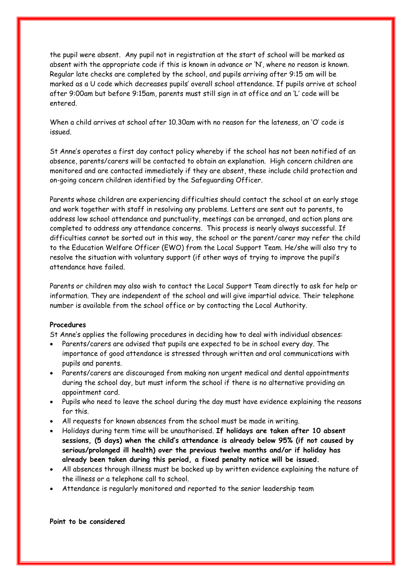the pupil were absent. Any pupil not in registration at the start of school will be marked as absent with the appropriate code if this is known in advance or 'N', where no reason is known. Regular late checks are completed by the school, and pupils arriving after 9:15 am will be marked as a U code which decreases pupils' overall school attendance. If pupils arrive at school after 9:00am but before 9:15am, parents must still sign in at office and an 'L' code will be entered.

When a child arrives at school after 10.30am with no reason for the lateness, an 'O' code is issued.

St Anne's operates a first day contact policy whereby if the school has not been notified of an absence, parents/carers will be contacted to obtain an explanation. High concern children are monitored and are contacted immediately if they are absent, these include child protection and on-going concern children identified by the Safeguarding Officer.

Parents whose children are experiencing difficulties should contact the school at an early stage and work together with staff in resolving any problems. Letters are sent out to parents, to address low school attendance and punctuality, meetings can be arranged, and action plans are completed to address any attendance concerns. This process is nearly always successful. If difficulties cannot be sorted out in this way, the school or the parent/carer may refer the child to the Education Welfare Officer (EWO) from the Local Support Team. He/she will also try to resolve the situation with voluntary support (if other ways of trying to improve the pupil's attendance have failed.

Parents or children may also wish to contact the Local Support Team directly to ask for help or information. They are independent of the school and will give impartial advice. Their telephone number is available from the school office or by contacting the Local Authority.

#### **Procedures**

St Anne's applies the following procedures in deciding how to deal with individual absences:

- Parents/carers are advised that pupils are expected to be in school every day. The importance of good attendance is stressed through written and oral communications with pupils and parents.
- Parents/carers are discouraged from making non urgent medical and dental appointments during the school day, but must inform the school if there is no alternative providing an appointment card.
- Pupils who need to leave the school during the day must have evidence explaining the reasons for this.
- All requests for known absences from the school must be made in writing.
- Holidays during term time will be unauthorised. **If holidays are taken after 10 absent sessions, (5 days) when the child's attendance is already below 95% (if not caused by serious/prolonged ill health) over the previous twelve months and/or if holiday has already been taken during this period, a fixed penalty notice will be issued.**
- All absences through illness must be backed up by written evidence explaining the nature of the illness or a telephone call to school.
- Attendance is regularly monitored and reported to the senior leadership team

**Point to be considered**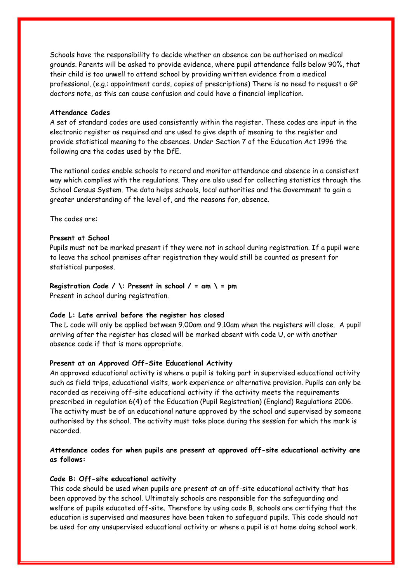Schools have the responsibility to decide whether an absence can be authorised on medical grounds. Parents will be asked to provide evidence, where pupil attendance falls below 90%, that their child is too unwell to attend school by providing written evidence from a medical professional, (e.g.: appointment cards, copies of prescriptions) There is no need to request a GP doctors note, as this can cause confusion and could have a financial implication.

#### **Attendance Codes**

A set of standard codes are used consistently within the register. These codes are input in the electronic register as required and are used to give depth of meaning to the register and provide statistical meaning to the absences. Under Section 7 of the Education Act 1996 the following are the codes used by the DfE.

The national codes enable schools to record and monitor attendance and absence in a consistent way which complies with the regulations. They are also used for collecting statistics through the School Census System. The data helps schools, local authorities and the Government to gain a greater understanding of the level of, and the reasons for, absence.

The codes are:

## **Present at School**

Pupils must not be marked present if they were not in school during registration. If a pupil were to leave the school premises after registration they would still be counted as present for statistical purposes.

#### **Registration Code / \: Present in school / = am \ = pm**

Present in school during registration.

## **Code L: Late arrival before the register has closed**

The L code will only be applied between 9.00am and 9.10am when the registers will close. A pupil arriving after the register has closed will be marked absent with code U, or with another absence code if that is more appropriate.

#### **Present at an Approved Off-Site Educational Activity**

An approved educational activity is where a pupil is taking part in supervised educational activity such as field trips, educational visits, work experience or alternative provision. Pupils can only be recorded as receiving off-site educational activity if the activity meets the requirements prescribed in regulation 6(4) of the Education (Pupil Registration) (England) Regulations 2006. The activity must be of an educational nature approved by the school and supervised by someone authorised by the school. The activity must take place during the session for which the mark is recorded.

## **Attendance codes for when pupils are present at approved off-site educational activity are as follows:**

#### **Code B: Off-site educational activity**

This code should be used when pupils are present at an off-site educational activity that has been approved by the school. Ultimately schools are responsible for the safeguarding and welfare of pupils educated off-site. Therefore by using code B, schools are certifying that the education is supervised and measures have been taken to safeguard pupils. This code should not be used for any unsupervised educational activity or where a pupil is at home doing school work.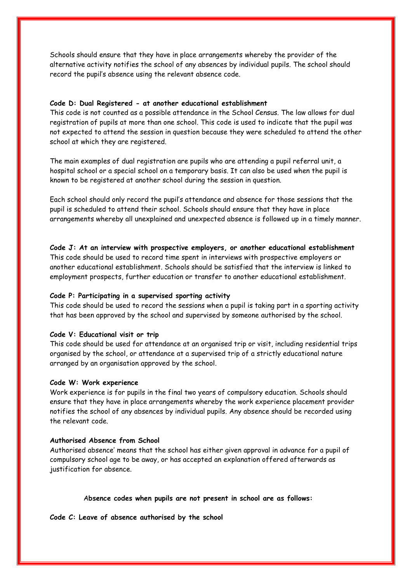Schools should ensure that they have in place arrangements whereby the provider of the alternative activity notifies the school of any absences by individual pupils. The school should record the pupil's absence using the relevant absence code.

#### **Code D: Dual Registered - at another educational establishment**

This code is not counted as a possible attendance in the School Census. The law allows for dual registration of pupils at more than one school. This code is used to indicate that the pupil was not expected to attend the session in question because they were scheduled to attend the other school at which they are registered.

The main examples of dual registration are pupils who are attending a pupil referral unit, a hospital school or a special school on a temporary basis. It can also be used when the pupil is known to be registered at another school during the session in question.

Each school should only record the pupil's attendance and absence for those sessions that the pupil is scheduled to attend their school. Schools should ensure that they have in place arrangements whereby all unexplained and unexpected absence is followed up in a timely manner.

**Code J: At an interview with prospective employers, or another educational establishment**  This code should be used to record time spent in interviews with prospective employers or another educational establishment. Schools should be satisfied that the interview is linked to employment prospects, further education or transfer to another educational establishment.

#### **Code P: Participating in a supervised sporting activity**

This code should be used to record the sessions when a pupil is taking part in a sporting activity that has been approved by the school and supervised by someone authorised by the school.

#### **Code V: Educational visit or trip**

This code should be used for attendance at an organised trip or visit, including residential trips organised by the school, or attendance at a supervised trip of a strictly educational nature arranged by an organisation approved by the school.

#### **Code W: Work experience**

Work experience is for pupils in the final two years of compulsory education. Schools should ensure that they have in place arrangements whereby the work experience placement provider notifies the school of any absences by individual pupils. Any absence should be recorded using the relevant code.

#### **Authorised Absence from School**

Authorised absence' means that the school has either given approval in advance for a pupil of compulsory school age to be away, or has accepted an explanation offered afterwards as justification for absence.

#### A**bsence codes when pupils are not present in school are as follows:**

**Code C: Leave of absence authorised by the school**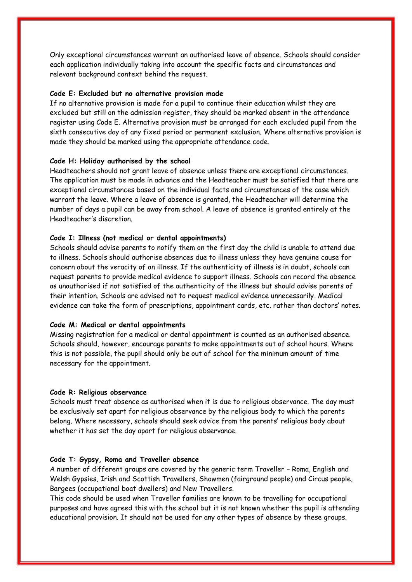Only exceptional circumstances warrant an authorised leave of absence. Schools should consider each application individually taking into account the specific facts and circumstances and relevant background context behind the request.

#### **Code E: Excluded but no alternative provision made**

If no alternative provision is made for a pupil to continue their education whilst they are excluded but still on the admission register, they should be marked absent in the attendance register using Code E. Alternative provision must be arranged for each excluded pupil from the sixth consecutive day of any fixed period or permanent exclusion. Where alternative provision is made they should be marked using the appropriate attendance code.

#### **Code H: Holiday authorised by the school**

Headteachers should not grant leave of absence unless there are exceptional circumstances. The application must be made in advance and the Headteacher must be satisfied that there are exceptional circumstances based on the individual facts and circumstances of the case which warrant the leave. Where a leave of absence is granted, the Headteacher will determine the number of days a pupil can be away from school. A leave of absence is granted entirely at the Headteacher's discretion.

#### **Code I: Illness (not medical or dental appointments)**

Schools should advise parents to notify them on the first day the child is unable to attend due to illness. Schools should authorise absences due to illness unless they have genuine cause for concern about the veracity of an illness. If the authenticity of illness is in doubt, schools can request parents to provide medical evidence to support illness. Schools can record the absence as unauthorised if not satisfied of the authenticity of the illness but should advise parents of their intention. Schools are advised not to request medical evidence unnecessarily. Medical evidence can take the form of prescriptions, appointment cards, etc. rather than doctors' notes.

#### **Code M: Medical or dental appointments**

Missing registration for a medical or dental appointment is counted as an authorised absence. Schools should, however, encourage parents to make appointments out of school hours. Where this is not possible, the pupil should only be out of school for the minimum amount of time necessary for the appointment.

#### **Code R: Religious observance**

Schools must treat absence as authorised when it is due to religious observance. The day must be exclusively set apart for religious observance by the religious body to which the parents belong. Where necessary, schools should seek advice from the parents' religious body about whether it has set the day apart for religious observance.

#### **Code T: Gypsy, Roma and Traveller absence**

A number of different groups are covered by the generic term Traveller – Roma, English and Welsh Gypsies, Irish and Scottish Travellers, Showmen (fairground people) and Circus people, Bargees (occupational boat dwellers) and New Travellers.

This code should be used when Traveller families are known to be travelling for occupational purposes and have agreed this with the school but it is not known whether the pupil is attending educational provision. It should not be used for any other types of absence by these groups.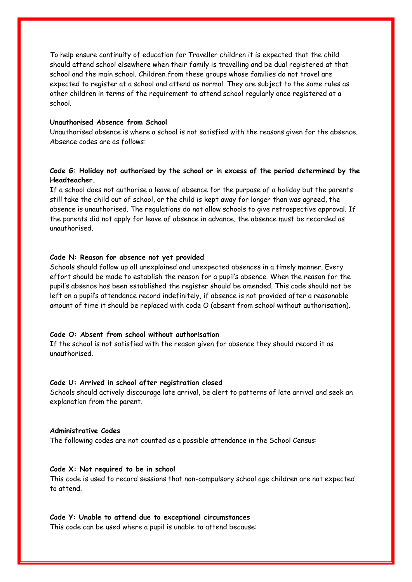To help ensure continuity of education for Traveller children it is expected that the child should attend school elsewhere when their family is travelling and be dual registered at that school and the main school. Children from these groups whose families do not travel are expected to register at a school and attend as normal. They are subject to the same rules as other children in terms of the requirement to attend school regularly once registered at a school.

#### **Unauthorised Absence from School**

Unauthorised absence is where a school is not satisfied with the reasons given for the absence. Absence codes are as follows:

## **Code G: Holiday not authorised by the school or in excess of the period determined by the Headteacher.**

If a school does not authorise a leave of absence for the purpose of a holiday but the parents still take the child out of school, or the child is kept away for longer than was agreed, the absence is unauthorised. The regulations do not allow schools to give retrospective approval. If the parents did not apply for leave of absence in advance, the absence must be recorded as unauthorised.

#### **Code N: Reason for absence not yet provided**

Schools should follow up all unexplained and unexpected absences in a timely manner. Every effort should be made to establish the reason for a pupil's absence. When the reason for the pupil's absence has been established the register should be amended. This code should not be left on a pupil's attendance record indefinitely, if absence is not provided after a reasonable amount of time it should be replaced with code O (absent from school without authorisation).

#### **Code O: Absent from school without authorisation**

If the school is not satisfied with the reason given for absence they should record it as unauthorised.

#### **Code U: Arrived in school after registration closed**

Schools should actively discourage late arrival, be alert to patterns of late arrival and seek an explanation from the parent.

#### **Administrative Codes**

The following codes are not counted as a possible attendance in the School Census:

#### **Code X: Not required to be in school**

This code is used to record sessions that non-compulsory school age children are not expected to attend.

#### **Code Y: Unable to attend due to exceptional circumstances**

This code can be used where a pupil is unable to attend because: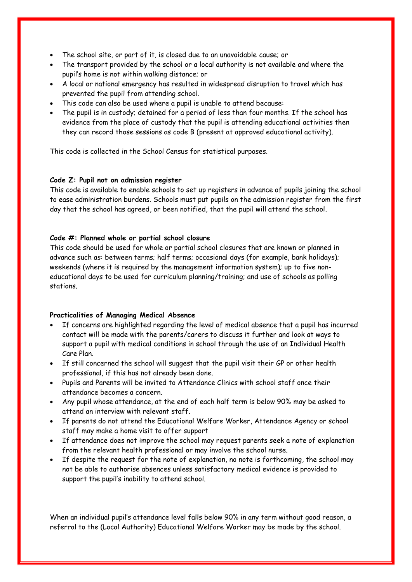- The school site, or part of it, is closed due to an unavoidable cause; or
- The transport provided by the school or a local authority is not available and where the pupil's home is not within walking distance; or
- A local or national emergency has resulted in widespread disruption to travel which has prevented the pupil from attending school.
- This code can also be used where a pupil is unable to attend because:
- The pupil is in custody; detained for a period of less than four months. If the school has evidence from the place of custody that the pupil is attending educational activities then they can record those sessions as code B (present at approved educational activity).

This code is collected in the School Census for statistical purposes.

## **Code Z: Pupil not on admission register**

This code is available to enable schools to set up registers in advance of pupils joining the school to ease administration burdens. Schools must put pupils on the admission register from the first day that the school has agreed, or been notified, that the pupil will attend the school*.* 

## **Code #: Planned whole or partial school closure**

This code should be used for whole or partial school closures that are known or planned in advance such as: between terms; half terms; occasional days (for example, bank holidays); weekends (where it is required by the management information system); up to five noneducational days to be used for curriculum planning/training; and use of schools as polling stations.

## **Practicalities of Managing Medical Absence**

- If concerns are highlighted regarding the level of medical absence that a pupil has incurred contact will be made with the parents/carers to discuss it further and look at ways to support a pupil with medical conditions in school through the use of an Individual Health Care Plan.
- If still concerned the school will suggest that the pupil visit their GP or other health professional, if this has not already been done.
- Pupils and Parents will be invited to Attendance Clinics with school staff once their attendance becomes a concern.
- Any pupil whose attendance, at the end of each half term is below 90% may be asked to attend an interview with relevant staff.
- If parents do not attend the Educational Welfare Worker, Attendance Agency or school staff may make a home visit to offer support
- If attendance does not improve the school may request parents seek a note of explanation from the relevant health professional or may involve the school nurse.
- If despite the request for the note of explanation, no note is forthcoming, the school may not be able to authorise absences unless satisfactory medical evidence is provided to support the pupil's inability to attend school.

When an individual pupil's attendance level falls below 90% in any term without good reason, a referral to the (Local Authority) Educational Welfare Worker may be made by the school.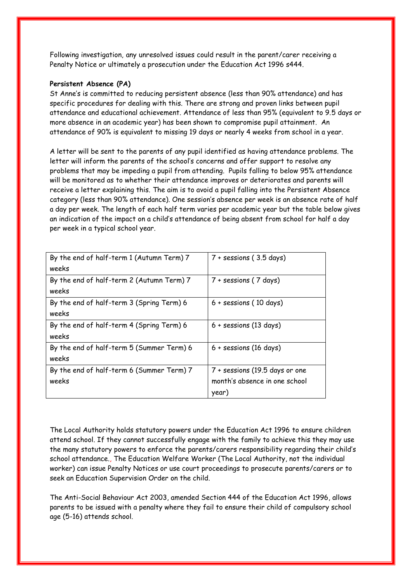Following investigation, any unresolved issues could result in the parent/carer receiving a Penalty Notice or ultimately a prosecution under the Education Act 1996 s444.

#### **Persistent Absence (PA)**

St Anne's is committed to reducing persistent absence (less than 90% attendance) and has specific procedures for dealing with this. There are strong and proven links between pupil attendance and educational achievement. Attendance of less than 95% (equivalent to 9.5 days or more absence in an academic year) has been shown to compromise pupil attainment. An attendance of 90% is equivalent to missing 19 days or nearly 4 weeks from school in a year.

A letter will be sent to the parents of any pupil identified as having attendance problems. The letter will inform the parents of the school's concerns and offer support to resolve any problems that may be impeding a pupil from attending. Pupils falling to below 95% attendance will be monitored as to whether their attendance improves or deteriorates and parents will receive a letter explaining this. The aim is to avoid a pupil falling into the Persistent Absence category (less than 90% attendance). One session's absence per week is an absence rate of half a day per week. The length of each half term varies per academic year but the table below gives an indication of the impact on a child's attendance of being absent from school for half a day per week in a typical school year.

| By the end of half-term 1 (Autumn Term) 7 | $7 +$ sessions (3.5 days)      |
|-------------------------------------------|--------------------------------|
| weeks                                     |                                |
| By the end of half-term 2 (Autumn Term) 7 | $7 +$ sessions (7 days)        |
| weeks                                     |                                |
| By the end of half-term 3 (Spring Term) 6 | $6 +$ sessions (10 days)       |
| weeks                                     |                                |
| By the end of half-term 4 (Spring Term) 6 | $6 +$ sessions (13 days)       |
| weeks                                     |                                |
| By the end of half-term 5 (Summer Term) 6 | $6 +$ sessions (16 days)       |
| weeks                                     |                                |
| By the end of half-term 6 (Summer Term) 7 | 7 + sessions (19.5 days or one |
| weeks                                     | month's absence in one school  |
|                                           | year)                          |

The Local Authority holds statutory powers under the Education Act 1996 to ensure children attend school. If they cannot successfully engage with the family to achieve this they may use the many statutory powers to enforce the parents/carers responsibility regarding their child's school attendance., The Education Welfare Worker (The Local Authority, not the individual worker) can issue Penalty Notices or use court proceedings to prosecute parents/carers or to seek an Education Supervision Order on the child.

The Anti-Social Behaviour Act 2003, amended Section 444 of the Education Act 1996, allows parents to be issued with a penalty where they fail to ensure their child of compulsory school age (5-16) attends school.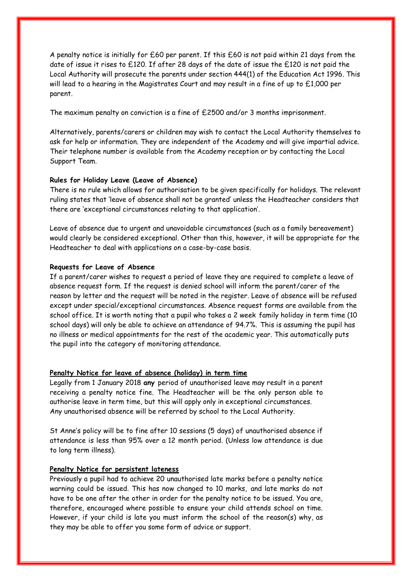A penalty notice is initially for £60 per parent. If this £60 is not paid within 21 days from the date of issue it rises to £120. If after 28 days of the date of issue the £120 is not paid the Local Authority will prosecute the parents under section 444(1) of the Education Act 1996. This will lead to a hearing in the Magistrates Court and may result in a fine of up to £1,000 per parent.

The maximum penalty on conviction is a fine of £2500 and/or 3 months imprisonment.

Alternatively, parents/carers or children may wish to contact the Local Authority themselves to ask for help or information. They are independent of the Academy and will give impartial advice. Their telephone number is available from the Academy reception or by contacting the Local Support Team.

#### **Rules for Holiday Leave (Leave of Absence)**

There is no rule which allows for authorisation to be given specifically for holidays. The relevant ruling states that 'leave of absence shall not be granted' unless the Headteacher considers that there are 'exceptional circumstances relating to that application'.

Leave of absence due to urgent and unavoidable circumstances (such as a family bereavement) would clearly be considered exceptional. Other than this, however, it will be appropriate for the Headteacher to deal with applications on a case-by-case basis.

#### **Requests for Leave of Absence**

If a parent/carer wishes to request a period of leave they are required to complete a leave of absence request form. If the request is denied school will inform the parent/carer of the reason by letter and the request will be noted in the register. Leave of absence will be refused except under special/exceptional circumstances. Absence request forms are available from the school office. It is worth noting that a pupil who takes a 2 week family holiday in term time (10 school days) will only be able to achieve an attendance of 94.7%. This is assuming the pupil has no illness or medical appointments for the rest of the academic year. This automatically puts the pupil into the category of monitoring attendance.

#### **Penalty Notice for leave of absence (holiday) in term time**

Legally from 1 January 2018 **any** period of unauthorised leave may result in a parent receiving a penalty notice fine. The Headteacher will be the only person able to authorise leave in term time, but this will apply only in exceptional circumstances. Any unauthorised absence will be referred by school to the Local Authority.

St Anne's policy will be to fine after 10 sessions (5 days) of unauthorised absence if attendance is less than 95% over a 12 month period. (Unless low attendance is due to long term illness).

## **Penalty Notice for persistent lateness**

Previously a pupil had to achieve 20 unauthorised late marks before a penalty notice warning could be issued. This has now changed to 10 marks, and late marks do not have to be one after the other in order for the penalty notice to be issued. You are, therefore, encouraged where possible to ensure your child attends school on time. However, if your child is late you must inform the school of the reason(s) why, as they may be able to offer you some form of advice or support.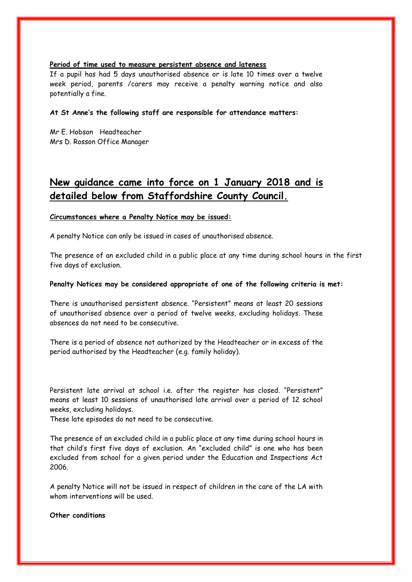## **Period of time used to measure persistent absence and lateness**

If a pupil has had 5 days unauthorised absence or is late 10 times over a twelve week period, parents /carers may receive a penalty warning notice and also potentially a fine.

#### **At St Anne's the following staff are responsible for attendance matters:**

Mr E. Hobson Headteacher Mrs D. Rosson Office Manager

# **New guidance came into force on 1 January 2018 and is detailed below from Staffordshire County Council.**

## **Circumstances where a Penalty Notice may be issued:**

A penalty Notice can only be issued in cases of unauthorised absence.

The presence of an excluded child in a public place at any time during school hours in the first five days of exclusion.

## **Penalty Notices may be considered appropriate of one of the following criteria is met:**

There is unauthorised persistent absence. "Persistent" means at least 20 sessions of unauthorised absence over a period of twelve weeks, excluding holidays. These absences do not need to be consecutive.

There is a period of absence not authorized by the Headteacher or in excess of the period authorised by the Headteacher (e.g. family holiday).

Persistent late arrival at school i.e. after the register has closed. "Persistent" means at least 10 sessions of unauthorised late arrival over a period of 12 school weeks, excluding holidays.

These late episodes do not need to be consecutive.

The presence of an excluded child in a public place at any time during school hours in that child's first five days of exclusion. An "excluded child" is one who has been excluded from school for a given period under the Education and Inspections Act 2006.

A penalty Notice will not be issued in respect of children in the care of the LA with whom interventions will be used.

#### **Other conditions**